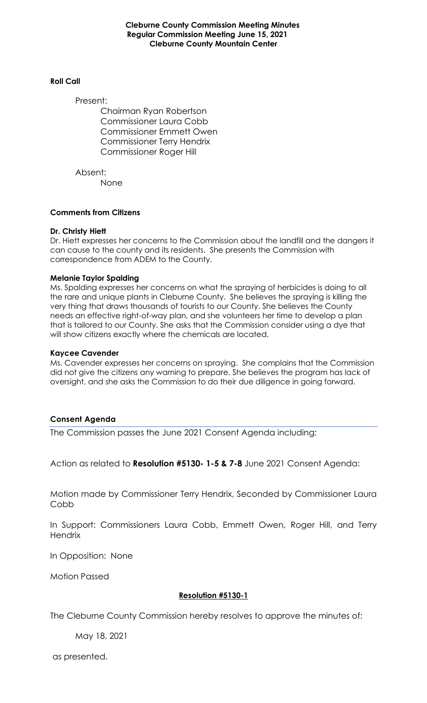**Cleburne County Commission Meeting Minutes Regular Commission Meeting June 15, 2021 Cleburne County Mountain Center**

#### **Roll Call**

Present:

Chairman Ryan Robertson Commissioner Laura Cobb Commissioner Emmett Owen Commissioner Terry Hendrix Commissioner Roger Hill

Absent: None

### **Comments from Citizens**

### **Dr. Christy Hiett**

Dr. Hiett expresses her concerns to the Commission about the landfill and the dangers it can cause to the county and its residents. She presents the Commission with correspondence from ADEM to the County.

### **Melanie Taylor Spalding**

Ms. Spalding expresses her concerns on what the spraying of herbicides is doing to all the rare and unique plants in Cleburne County. She believes the spraying is killing the very thing that draws thousands of tourists to our County. She believes the County needs an effective right-of-way plan, and she volunteers her time to develop a plan that is tailored to our County. She asks that the Commission consider using a dye that will show citizens exactly where the chemicals are located.

#### **Kaycee Cavender**

Ms. Cavender expresses her concerns on spraying. She complains that the Commission did not give the citizens any warning to prepare. She believes the program has lack of oversight, and she asks the Commission to do their due diligence in going forward.

### **Consent Agenda**

The Commission passes the June 2021 Consent Agenda including:

Action as related to **Resolution #5130- 1-5 & 7-8** June 2021 Consent Agenda:

Motion made by Commissioner Terry Hendrix, Seconded by Commissioner Laura **Cobb** 

In Support: Commissioners Laura Cobb, Emmett Owen, Roger Hill, and Terry **Hendrix** 

In Opposition: None

Motion Passed

### **Resolution #5130-1**

The Cleburne County Commission hereby resolves to approve the minutes of:

May 18, 2021

as presented.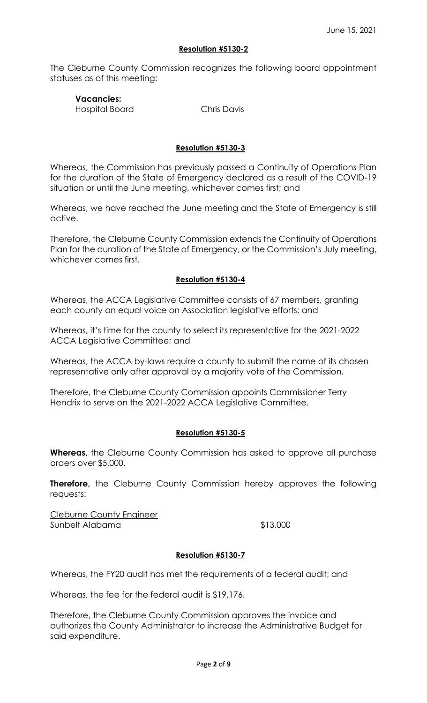### **Resolution #5130-2**

The Cleburne County Commission recognizes the following board appointment statuses as of this meeting:

# **Vacancies:**

Hospital Board Chris Davis

## **Resolution #5130-3**

Whereas, the Commission has previously passed a Continuity of Operations Plan for the duration of the State of Emergency declared as a result of the COVID-19 situation or until the June meeting, whichever comes first; and

Whereas, we have reached the June meeting and the State of Emergency is still active.

Therefore, the Cleburne County Commission extends the Continuity of Operations Plan for the duration of the State of Emergency, or the Commission's July meeting, whichever comes first.

## **Resolution #5130-4**

Whereas, the ACCA Legislative Committee consists of 67 members, granting each county an equal voice on Association legislative efforts; and

Whereas, it's time for the county to select its representative for the 2021-2022 ACCA Legislative Committee; and

Whereas, the ACCA by-laws require a county to submit the name of its chosen representative only after approval by a majority vote of the Commission.

Therefore, the Cleburne County Commission appoints Commissioner Terry Hendrix to serve on the 2021-2022 ACCA Legislative Committee.

## **Resolution #5130-5**

**Whereas,** the Cleburne County Commission has asked to approve all purchase orders over \$5,000.

**Therefore,** the Cleburne County Commission hereby approves the following requests:

Cleburne County Engineer Sunbelt Alabama  $$13,000$ 

## **Resolution #5130-7**

Whereas, the FY20 audit has met the requirements of a federal audit; and

Whereas, the fee for the federal audit is \$19,176.

Therefore, the Cleburne County Commission approves the invoice and authorizes the County Administrator to increase the Administrative Budget for said expenditure.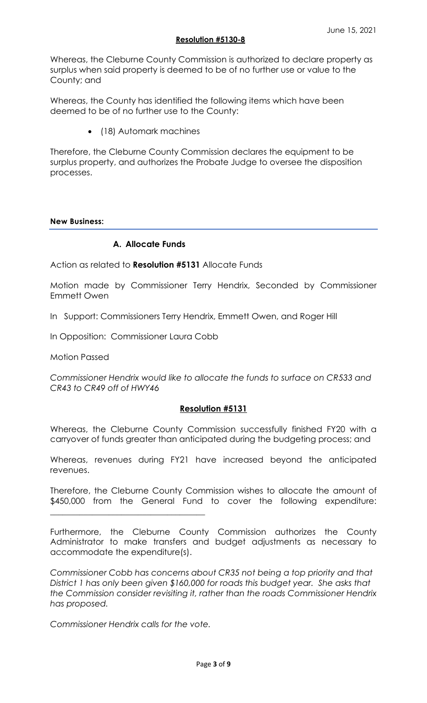### **Resolution #5130-8**

Whereas, the Cleburne County Commission is authorized to declare property as surplus when said property is deemed to be of no further use or value to the County; and

Whereas, the County has identified the following items which have been deemed to be of no further use to the County:

• (18) Automark machines

Therefore, the Cleburne County Commission declares the equipment to be surplus property, and authorizes the Probate Judge to oversee the disposition processes.

### **New Business:**

# **A. Allocate Funds**

Action as related to **Resolution #5131** Allocate Funds

Motion made by Commissioner Terry Hendrix, Seconded by Commissioner Emmett Owen

In Support: Commissioners Terry Hendrix, Emmett Owen, and Roger Hill

In Opposition: Commissioner Laura Cobb

Motion Passed

*Commissioner Hendrix would like to allocate the funds to surface on CR533 and CR43 to CR49 off of HWY46*

## **Resolution #5131**

Whereas, the Cleburne County Commission successfully finished FY20 with a carryover of funds greater than anticipated during the budgeting process; and

Whereas, revenues during FY21 have increased beyond the anticipated revenues.

Therefore, the Cleburne County Commission wishes to allocate the amount of \$450,000 from the General Fund to cover the following expenditure:

Furthermore, the Cleburne County Commission authorizes the County Administrator to make transfers and budget adjustments as necessary to accommodate the expenditure(s).

*Commissioner Cobb has concerns about CR35 not being a top priority and that District 1 has only been given \$160,000 for roads this budget year. She asks that the Commission consider revisiting it, rather than the roads Commissioner Hendrix has proposed.*

*Commissioner Hendrix calls for the vote.* 

\_\_\_\_\_\_\_\_\_\_\_\_\_\_\_\_\_\_\_\_\_\_\_\_\_\_\_\_\_\_\_\_\_\_\_\_\_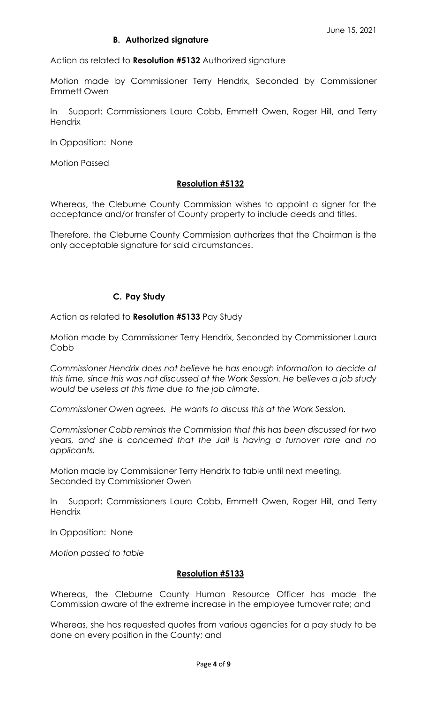## **B. Authorized signature**

Action as related to **Resolution #5132** Authorized signature

Motion made by Commissioner Terry Hendrix, Seconded by Commissioner Emmett Owen

In Support: Commissioners Laura Cobb, Emmett Owen, Roger Hill, and Terry **Hendrix** 

In Opposition: None

Motion Passed

### **Resolution #5132**

Whereas, the Cleburne County Commission wishes to appoint a signer for the acceptance and/or transfer of County property to include deeds and titles.

Therefore, the Cleburne County Commission authorizes that the Chairman is the only acceptable signature for said circumstances.

## **C. Pay Study**

Action as related to **Resolution #5133** Pay Study

Motion made by Commissioner Terry Hendrix, Seconded by Commissioner Laura Cobb

*Commissioner Hendrix does not believe he has enough information to decide at this time, since this was not discussed at the Work Session. He believes a job study would be useless at this time due to the job climate.*

*Commissioner Owen agrees. He wants to discuss this at the Work Session.* 

*Commissioner Cobb reminds the Commission that this has been discussed for two years, and she is concerned that the Jail is having a turnover rate and no applicants.* 

Motion made by Commissioner Terry Hendrix to table until next meeting, Seconded by Commissioner Owen

In Support: Commissioners Laura Cobb, Emmett Owen, Roger Hill, and Terry **Hendrix** 

In Opposition: None

*Motion passed to table*

## **Resolution #5133**

Whereas, the Cleburne County Human Resource Officer has made the Commission aware of the extreme increase in the employee turnover rate; and

Whereas, she has requested quotes from various agencies for a pay study to be done on every position in the County; and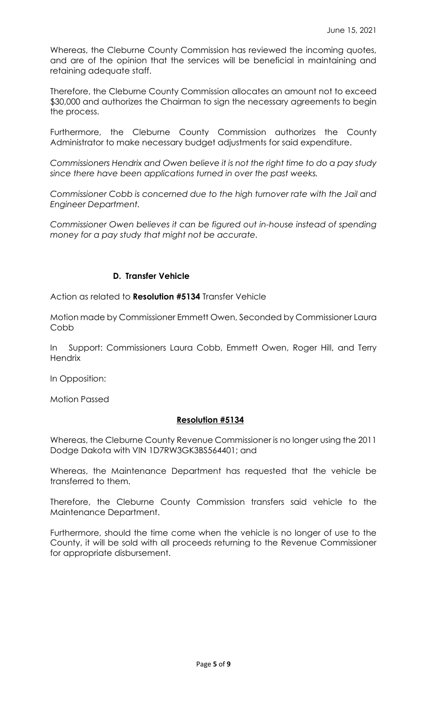Whereas, the Cleburne County Commission has reviewed the incoming quotes, and are of the opinion that the services will be beneficial in maintaining and retaining adequate staff.

Therefore, the Cleburne County Commission allocates an amount not to exceed \$30,000 and authorizes the Chairman to sign the necessary agreements to begin the process.

Furthermore, the Cleburne County Commission authorizes the County Administrator to make necessary budget adjustments for said expenditure.

*Commissioners Hendrix and Owen believe it is not the right time to do a pay study since there have been applications turned in over the past weeks.*

*Commissioner Cobb is concerned due to the high turnover rate with the Jail and Engineer Department.*

*Commissioner Owen believes it can be figured out in-house instead of spending money for a pay study that might not be accurate.*

# **D. Transfer Vehicle**

Action as related to **Resolution #5134** Transfer Vehicle

Motion made by Commissioner Emmett Owen, Seconded by Commissioner Laura Cobb

In Support: Commissioners Laura Cobb, Emmett Owen, Roger Hill, and Terry **Hendrix** 

In Opposition:

Motion Passed

## **Resolution #5134**

Whereas, the Cleburne County Revenue Commissioner is no longer using the 2011 Dodge Dakota with VIN 1D7RW3GK3BS564401; and

Whereas, the Maintenance Department has requested that the vehicle be transferred to them.

Therefore, the Cleburne County Commission transfers said vehicle to the Maintenance Department.

Furthermore, should the time come when the vehicle is no longer of use to the County, it will be sold with all proceeds returning to the Revenue Commissioner for appropriate disbursement.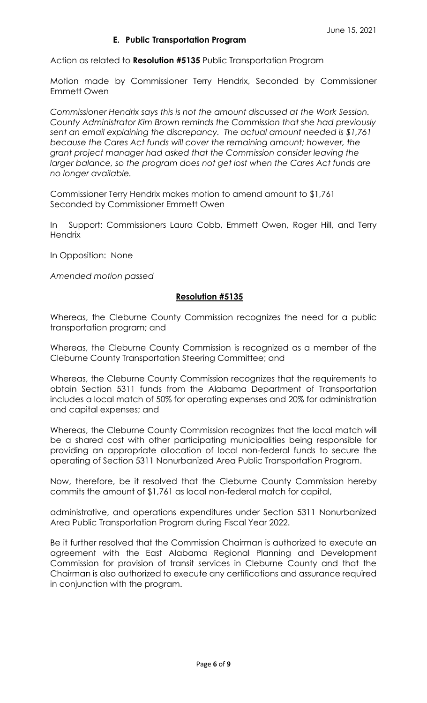Action as related to **Resolution #5135** Public Transportation Program

Motion made by Commissioner Terry Hendrix, Seconded by Commissioner Emmett Owen

*Commissioner Hendrix says this is not the amount discussed at the Work Session. County Administrator Kim Brown reminds the Commission that she had previously sent an email explaining the discrepancy. The actual amount needed is \$1,761 because the Cares Act funds will cover the remaining amount; however, the grant project manager had asked that the Commission consider leaving the*  larger balance, so the program does not get lost when the Cares Act funds are *no longer available.* 

Commissioner Terry Hendrix makes motion to amend amount to \$1,761 Seconded by Commissioner Emmett Owen

In Support: Commissioners Laura Cobb, Emmett Owen, Roger Hill, and Terry **Hendrix** 

In Opposition: None

*Amended motion passed*

### **Resolution #5135**

Whereas, the Cleburne County Commission recognizes the need for a public transportation program; and

Whereas, the Cleburne County Commission is recognized as a member of the Cleburne County Transportation Steering Committee; and

Whereas, the Cleburne County Commission recognizes that the requirements to obtain Section 5311 funds from the Alabama Department of Transportation includes a local match of 50% for operating expenses and 20% for administration and capital expenses; and

Whereas, the Cleburne County Commission recognizes that the local match will be a shared cost with other participating municipalities being responsible for providing an appropriate allocation of local non-federal funds to secure the operating of Section 5311 Nonurbanized Area Public Transportation Program.

Now, therefore, be it resolved that the Cleburne County Commission hereby commits the amount of \$1,761 as local non-federal match for capital,

administrative, and operations expenditures under Section 5311 Nonurbanized Area Public Transportation Program during Fiscal Year 2022.

Be it further resolved that the Commission Chairman is authorized to execute an agreement with the East Alabama Regional Planning and Development Commission for provision of transit services in Cleburne County and that the Chairman is also authorized to execute any certifications and assurance required in conjunction with the program.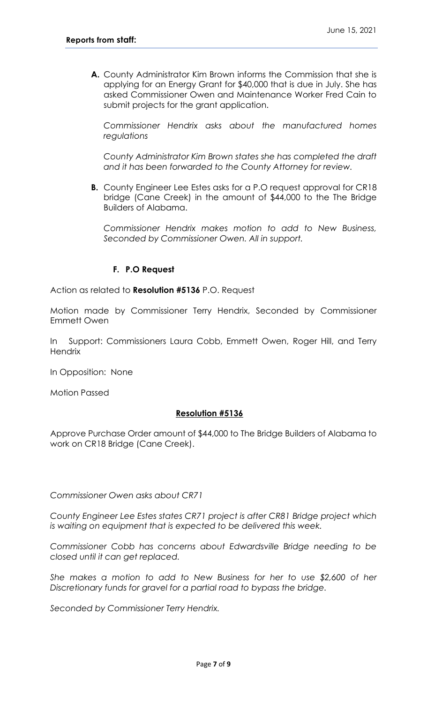**A.** County Administrator Kim Brown informs the Commission that she is applying for an Energy Grant for \$40,000 that is due in July. She has asked Commissioner Owen and Maintenance Worker Fred Cain to submit projects for the grant application.

*Commissioner Hendrix asks about the manufactured homes regulations*

*County Administrator Kim Brown states she has completed the draft and it has been forwarded to the County Attorney for review.*

**B.** County Engineer Lee Estes asks for a P.O request approval for CR18 bridge (Cane Creek) in the amount of \$44,000 to the The Bridge Builders of Alabama.

*Commissioner Hendrix makes motion to add to New Business, Seconded by Commissioner Owen. All in support.*

# **F. P.O Request**

Action as related to **Resolution #5136** P.O. Request

Motion made by Commissioner Terry Hendrix, Seconded by Commissioner Emmett Owen

In Support: Commissioners Laura Cobb, Emmett Owen, Roger Hill, and Terry **Hendrix** 

In Opposition: None

Motion Passed

## **Resolution #5136**

Approve Purchase Order amount of \$44,000 to The Bridge Builders of Alabama to work on CR18 Bridge (Cane Creek).

*Commissioner Owen asks about CR71*

*County Engineer Lee Estes states CR71 project is after CR81 Bridge project which is waiting on equipment that is expected to be delivered this week.*

*Commissioner Cobb has concerns about Edwardsville Bridge needing to be closed until it can get replaced.* 

*She makes a motion to add to New Business for her to use \$2,600 of her Discretionary funds for gravel for a partial road to bypass the bridge.* 

*Seconded by Commissioner Terry Hendrix.*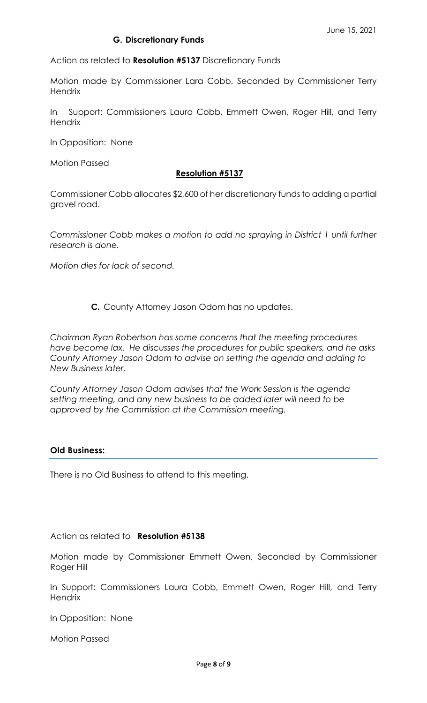## **G. Discretionary Funds**

Action as related to **Resolution #5137** Discretionary Funds

Motion made by Commissioner Lara Cobb, Seconded by Commissioner Terry **Hendrix** 

In Support: Commissioners Laura Cobb, Emmett Owen, Roger Hill, and Terry **Hendrix** 

In Opposition: None

Motion Passed

### **Resolution #5137**

Commissioner Cobb allocates \$2,600 of her discretionary funds to adding a partial gravel road.

*Commissioner Cobb makes a motion to add no spraying in District 1 until further research is done.*

*Motion dies for lack of second.*

## **C.** County Attorney Jason Odom has no updates.

*Chairman Ryan Robertson has some concerns that the meeting procedures have become lax. He discusses the procedures for public speakers, and he asks County Attorney Jason Odom to advise on setting the agenda and adding to New Business later.* 

*County Attorney Jason Odom advises that the Work Session is the agenda setting meeting, and any new business to be added later will need to be approved by the Commission at the Commission meeting.*

### **Old Business:**

There is no Old Business to attend to this meeting.

## Action as related to **Resolution #5138**

Motion made by Commissioner Emmett Owen, Seconded by Commissioner Roger Hill

In Support: Commissioners Laura Cobb, Emmett Owen, Roger Hill, and Terry **Hendrix** 

In Opposition: None

Motion Passed